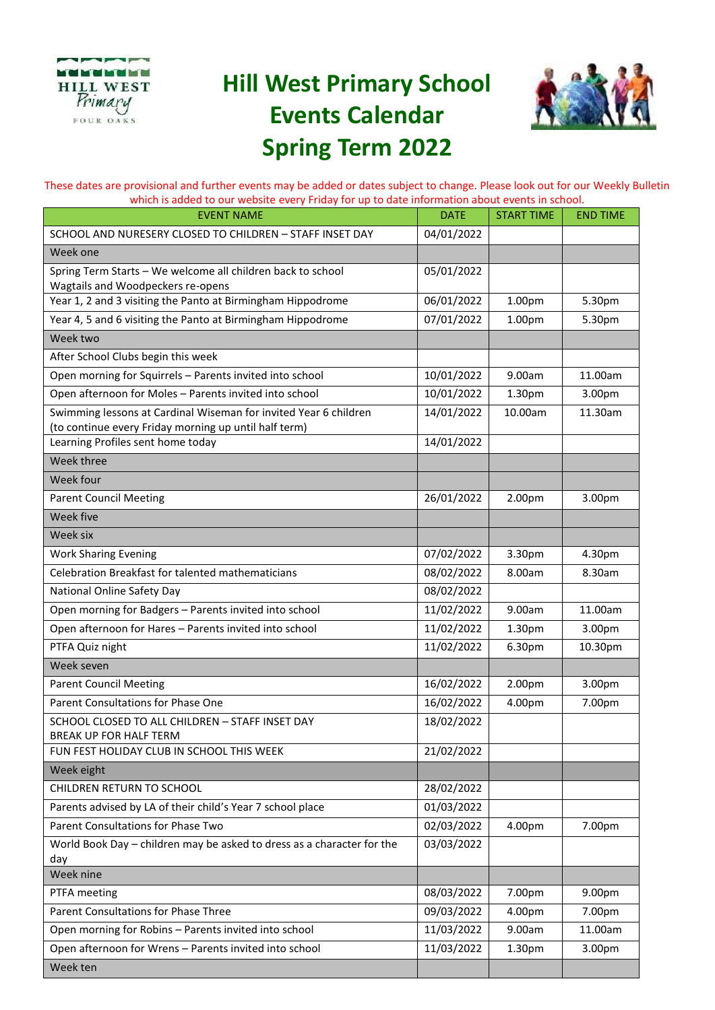

## **Hill West Primary School Events Calendar Spring Term 2022**



These dates are provisional and further events may be added or dates subject to change. Please look out for our Weekly Bulletin which is added to our website every Friday for up to date information about events in school.

| <b>EVENT NAME</b>                                                                                                         | <b>DATE</b> | <b>START TIME</b>  | <b>END TIME</b> |
|---------------------------------------------------------------------------------------------------------------------------|-------------|--------------------|-----------------|
| SCHOOL AND NURESERY CLOSED TO CHILDREN - STAFF INSET DAY                                                                  | 04/01/2022  |                    |                 |
| Week one                                                                                                                  |             |                    |                 |
| Spring Term Starts - We welcome all children back to school<br>Wagtails and Woodpeckers re-opens                          | 05/01/2022  |                    |                 |
| Year 1, 2 and 3 visiting the Panto at Birmingham Hippodrome                                                               | 06/01/2022  | 1.00 <sub>pm</sub> | 5.30pm          |
| Year 4, 5 and 6 visiting the Panto at Birmingham Hippodrome                                                               | 07/01/2022  | 1.00pm             | 5.30pm          |
| Week two                                                                                                                  |             |                    |                 |
| After School Clubs begin this week                                                                                        |             |                    |                 |
| Open morning for Squirrels - Parents invited into school                                                                  | 10/01/2022  | 9.00am             | 11.00am         |
| Open afternoon for Moles - Parents invited into school                                                                    | 10/01/2022  | 1.30pm             | 3.00pm          |
| Swimming lessons at Cardinal Wiseman for invited Year 6 children<br>(to continue every Friday morning up until half term) | 14/01/2022  | 10.00am            | 11.30am         |
| Learning Profiles sent home today                                                                                         | 14/01/2022  |                    |                 |
| Week three                                                                                                                |             |                    |                 |
| Week four                                                                                                                 |             |                    |                 |
| <b>Parent Council Meeting</b>                                                                                             | 26/01/2022  | 2.00pm             | 3.00pm          |
| Week five                                                                                                                 |             |                    |                 |
| Week six                                                                                                                  |             |                    |                 |
| <b>Work Sharing Evening</b>                                                                                               | 07/02/2022  | 3.30pm             | 4.30pm          |
| Celebration Breakfast for talented mathematicians                                                                         | 08/02/2022  | 8.00am             | 8.30am          |
| National Online Safety Day                                                                                                | 08/02/2022  |                    |                 |
| Open morning for Badgers - Parents invited into school                                                                    | 11/02/2022  | 9.00am             | 11.00am         |
| Open afternoon for Hares - Parents invited into school                                                                    | 11/02/2022  | 1.30pm             | 3.00pm          |
| PTFA Quiz night                                                                                                           | 11/02/2022  | 6.30pm             | 10.30pm         |
| Week seven                                                                                                                |             |                    |                 |
| <b>Parent Council Meeting</b>                                                                                             | 16/02/2022  | 2.00pm             | 3.00pm          |
| Parent Consultations for Phase One                                                                                        | 16/02/2022  | 4.00pm             | 7.00pm          |
| SCHOOL CLOSED TO ALL CHILDREN - STAFF INSET DAY<br><b>BREAK UP FOR HALF TERM</b>                                          | 18/02/2022  |                    |                 |
| FUN FEST HOLIDAY CLUB IN SCHOOL THIS WEEK                                                                                 | 21/02/2022  |                    |                 |
| Week eight                                                                                                                |             |                    |                 |
| CHILDREN RETURN TO SCHOOL                                                                                                 | 28/02/2022  |                    |                 |
| Parents advised by LA of their child's Year 7 school place                                                                | 01/03/2022  |                    |                 |
| Parent Consultations for Phase Two                                                                                        | 02/03/2022  | 4.00pm             | 7.00pm          |
| World Book Day - children may be asked to dress as a character for the                                                    | 03/03/2022  |                    |                 |
| day                                                                                                                       |             |                    |                 |
| Week nine                                                                                                                 |             |                    |                 |
| PTFA meeting                                                                                                              | 08/03/2022  | 7.00pm             | 9.00pm          |
| Parent Consultations for Phase Three                                                                                      | 09/03/2022  | 4.00pm             | 7.00pm          |
| Open morning for Robins - Parents invited into school                                                                     | 11/03/2022  | 9.00am             | 11.00am         |
| Open afternoon for Wrens - Parents invited into school                                                                    | 11/03/2022  | 1.30pm             | 3.00pm          |
| Week ten                                                                                                                  |             |                    |                 |